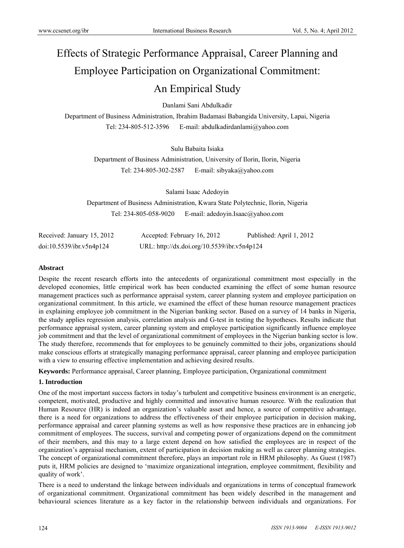# Effects of Strategic Performance Appraisal, Career Planning and Employee Participation on Organizational Commitment: An Empirical Study

Danlami Sani Abdulkadir

Department of Business Administration, Ibrahim Badamasi Babangida University, Lapai, Nigeria Tel: 234-805-512-3596 E-mail: abdulkadirdanlami@yahoo.com

Sulu Babaita Isiaka

Department of Business Administration, University of Ilorin, Ilorin, Nigeria Tel: 234-805-302-2587 E-mail: sibyaka@yahoo.com

Salami Isaac Adedoyin

Department of Business Administration, Kwara State Polytechnic, Ilorin, Nigeria Tel: 234-805-058-9020 E-mail: adedoyin.Isaac@yahoo.com

| Received: January 15, 2012 | Accepted: February 16, 2012                 | Published: April 1, 2012 |
|----------------------------|---------------------------------------------|--------------------------|
| doi:10.5539/ibr.v5n4p124   | URL: http://dx.doi.org/10.5539/ibr.v5n4p124 |                          |

#### **Abstract**

Despite the recent research efforts into the antecedents of organizational commitment most especially in the developed economies, little empirical work has been conducted examining the effect of some human resource management practices such as performance appraisal system, career planning system and employee participation on organizational commitment. In this article, we examined the effect of these human resource management practices in explaining employee job commitment in the Nigerian banking sector. Based on a survey of 14 banks in Nigeria, the study applies regression analysis, correlation analysis and G-test in testing the hypotheses. Results indicate that performance appraisal system, career planning system and employee participation significantly influence employee job commitment and that the level of organizational commitment of employees in the Nigerian banking sector is low. The study therefore, recommends that for employees to be genuinely committed to their jobs, organizations should make conscious efforts at strategically managing performance appraisal, career planning and employee participation with a view to ensuring effective implementation and achieving desired results.

**Keywords:** Performance appraisal, Career planning, Employee participation, Organizational commitment

## **1. Introduction**

One of the most important success factors in today's turbulent and competitive business environment is an energetic, competent, motivated, productive and highly committed and innovative human resource. With the realization that Human Resource (HR) is indeed an organization's valuable asset and hence, a source of competitive advantage, there is a need for organizations to address the effectiveness of their employee participation in decision making, performance appraisal and career planning systems as well as how responsive these practices are in enhancing job commitment of employees. The success, survival and competing power of organizations depend on the commitment of their members, and this may to a large extent depend on how satisfied the employees are in respect of the organization's appraisal mechanism, extent of participation in decision making as well as career planning strategies. The concept of organizational commitment therefore, plays an important role in HRM philosophy. As Guest (1987) puts it, HRM policies are designed to 'maximize organizational integration, employee commitment, flexibility and quality of work'.

There is a need to understand the linkage between individuals and organizations in terms of conceptual framework of organizational commitment. Organizational commitment has been widely described in the management and behavioural sciences literature as a key factor in the relationship between individuals and organizations. For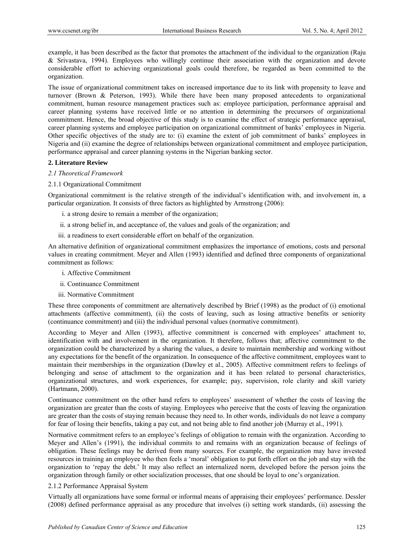example, it has been described as the factor that promotes the attachment of the individual to the organization (Raju & Srivastava, 1994). Employees who willingly continue their association with the organization and devote considerable effort to achieving organizational goals could therefore, be regarded as been committed to the organization.

The issue of organizational commitment takes on increased importance due to its link with propensity to leave and turnover (Brown & Peterson, 1993). While there have been many proposed antecedents to organizational commitment, human resource management practices such as: employee participation, performance appraisal and career planning systems have received little or no attention in determining the precursors of organizational commitment. Hence, the broad objective of this study is to examine the effect of strategic performance appraisal, career planning systems and employee participation on organizational commitment of banks' employees in Nigeria. Other specific objectives of the study are to: (i) examine the extent of job commitment of banks' employees in Nigeria and (ii) examine the degree of relationships between organizational commitment and employee participation, performance appraisal and career planning systems in the Nigerian banking sector.

## **2. Literature Review**

## *2.1 Theoretical Framework*

## 2.1.1 Organizational Commitment

Organizational commitment is the relative strength of the individual's identification with, and involvement in, a particular organization. It consists of three factors as highlighted by Armstrong (2006):

- i. a strong desire to remain a member of the organization;
- ii. a strong belief in, and acceptance of, the values and goals of the organization; and
- iii. a readiness to exert considerable effort on behalf of the organization.

An alternative definition of organizational commitment emphasizes the importance of emotions, costs and personal values in creating commitment. Meyer and Allen (1993) identified and defined three components of organizational commitment as follows:

- i. Affective Commitment
- ii. Continuance Commitment
- iii. Normative Commitment

These three components of commitment are alternatively described by Brief (1998) as the product of (i) emotional attachments (affective commitment), (ii) the costs of leaving, such as losing attractive benefits or seniority (continuance commitment) and (iii) the individual personal values (normative commitment).

According to Meyer and Allen (1993), affective commitment is concerned with employees' attachment to, identification with and involvement in the organization. It therefore, follows that; affective commitment to the organization could be characterized by a sharing the values, a desire to maintain membership and working without any expectations for the benefit of the organization. In consequence of the affective commitment, employees want to maintain their memberships in the organization (Dawley et al., 2005). Affective commitment refers to feelings of belonging and sense of attachment to the organization and it has been related to personal characteristics, organizational structures, and work experiences, for example; pay, supervision, role clarity and skill variety (Hartmann, 2000).

Continuance commitment on the other hand refers to employees' assessment of whether the costs of leaving the organization are greater than the costs of staying. Employees who perceive that the costs of leaving the organization are greater than the costs of staying remain because they need to. In other words, individuals do not leave a company for fear of losing their benefits, taking a pay cut, and not being able to find another job (Murray et al., 1991).

Normative commitment refers to an employee's feelings of obligation to remain with the organization. According to Meyer and Allen's (1991), the individual commits to and remains with an organization because of feelings of obligation. These feelings may be derived from many sources. For example, the organization may have invested resources in training an employee who then feels a 'moral' obligation to put forth effort on the job and stay with the organization to 'repay the debt.' It may also reflect an internalized norm, developed before the person joins the organization through family or other socialization processes, that one should be loyal to one's organization.

## 2.1.2 Performance Appraisal System

Virtually all organizations have some formal or informal means of appraising their employees' performance. Dessler (2008) defined performance appraisal as any procedure that involves (i) setting work standards, (ii) assessing the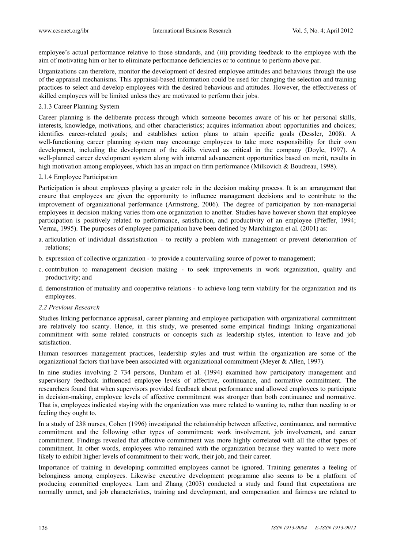employee's actual performance relative to those standards, and (iii) providing feedback to the employee with the aim of motivating him or her to eliminate performance deficiencies or to continue to perform above par.

Organizations can therefore, monitor the development of desired employee attitudes and behavious through the use of the appraisal mechanisms. This appraisal-based information could be used for changing the selection and training practices to select and develop employees with the desired behavious and attitudes. However, the effectiveness of skilled employees will be limited unless they are motivated to perform their jobs.

## 2.1.3 Career Planning System

Career planning is the deliberate process through which someone becomes aware of his or her personal skills, interests, knowledge, motivations, and other characteristics; acquires information about opportunities and choices; identifies career-related goals; and establishes action plans to attain specific goals (Dessler, 2008). A well-functioning career planning system may encourage employees to take more responsibility for their own development, including the development of the skills viewed as critical in the company (Doyle, 1997). A well-planned career development system along with internal advancement opportunities based on merit, results in high motivation among employees, which has an impact on firm performance (Milkovich & Boudreau, 1998).

#### 2.1.4 Employee Participation

Participation is about employees playing a greater role in the decision making process. It is an arrangement that ensure that employees are given the opportunity to influence management decisions and to contribute to the improvement of organizational performance (Armstrong, 2006). The degree of participation by non-managerial employees in decision making varies from one organization to another. Studies have however shown that employee participation is positively related to performance, satisfaction, and productivity of an employee (Pfeffer, 1994; Verma, 1995). The purposes of employee participation have been defined by Marchington et al. (2001) as:

- a. articulation of individual dissatisfaction to rectify a problem with management or prevent deterioration of relations;
- b. expression of collective organization to provide a countervailing source of power to management;
- c. contribution to management decision making to seek improvements in work organization, quality and productivity; and
- d. demonstration of mutuality and cooperative relations to achieve long term viability for the organization and its employees.

#### *2.2 Previous Research*

Studies linking performance appraisal, career planning and employee participation with organizational commitment are relatively too scanty. Hence, in this study, we presented some empirical findings linking organizational commitment with some related constructs or concepts such as leadership styles, intention to leave and job satisfaction.

Human resources management practices, leadership styles and trust within the organization are some of the organizational factors that have been associated with organizational commitment (Meyer & Allen, 1997).

In nine studies involving 2 734 persons, Dunham et al. (1994) examined how participatory management and supervisory feedback influenced employee levels of affective, continuance, and normative commitment. The researchers found that when supervisors provided feedback about performance and allowed employees to participate in decision-making, employee levels of affective commitment was stronger than both continuance and normative. That is, employees indicated staying with the organization was more related to wanting to, rather than needing to or feeling they ought to.

In a study of 238 nurses, Cohen (1996) investigated the relationship between affective, continuance, and normative commitment and the following other types of commitment: work involvement, job involvement, and career commitment. Findings revealed that affective commitment was more highly correlated with all the other types of commitment. In other words, employees who remained with the organization because they wanted to were more likely to exhibit higher levels of commitment to their work, their job, and their career.

Importance of training in developing committed employees cannot be ignored. Training generates a feeling of belonginess among employees. Likewise executive development programme also seems to be a platform of producing committed employees. Lam and Zhang (2003) conducted a study and found that expectations are normally unmet, and job characteristics, training and development, and compensation and fairness are related to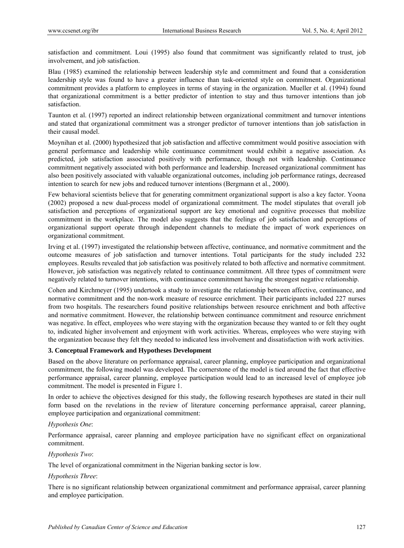satisfaction and commitment. Loui (1995) also found that commitment was significantly related to trust, job involvement, and job satisfaction.

Blau (1985) examined the relationship between leadership style and commitment and found that a consideration leadership style was found to have a greater influence than task-oriented style on commitment. Organizational commitment provides a platform to employees in terms of staying in the organization. Mueller et al. (1994) found that organizational commitment is a better predictor of intention to stay and thus turnover intentions than job satisfaction.

Taunton et al. (1997) reported an indirect relationship between organizational commitment and turnover intentions and stated that organizational commitment was a stronger predictor of turnover intentions than job satisfaction in their causal model.

Moynihan et al. (2000) hypothesized that job satisfaction and affective commitment would positive association with general performance and leadership while continuance commitment would exhibit a negative association. As predicted, job satisfaction associated positively with performance, though not with leadership. Continuance commitment negatively associated with both performance and leadership. Increased organizational commitment has also been positively associated with valuable organizational outcomes, including job performance ratings, decreased intention to search for new jobs and reduced turnover intentions (Bergmann et al., 2000).

Few behavioral scientists believe that for generating commitment organizational support is also a key factor. Yoona (2002) proposed a new dual-process model of organizational commitment. The model stipulates that overall job satisfaction and perceptions of organizational support are key emotional and cognitive processes that mobilize commitment in the workplace. The model also suggests that the feelings of job satisfaction and perceptions of organizational support operate through independent channels to mediate the impact of work experiences on organizational commitment.

Irving et al. (1997) investigated the relationship between affective, continuance, and normative commitment and the outcome measures of job satisfaction and turnover intentions. Total participants for the study included 232 employees. Results revealed that job satisfaction was positively related to both affective and normative commitment. However, job satisfaction was negatively related to continuance commitment. All three types of commitment were negatively related to turnover intentions, with continuance commitment having the strongest negative relationship.

Cohen and Kirchmeyer (1995) undertook a study to investigate the relationship between affective, continuance, and normative commitment and the non-work measure of resource enrichment. Their participants included 227 nurses from two hospitals. The researchers found positive relationships between resource enrichment and both affective and normative commitment. However, the relationship between continuance commitment and resource enrichment was negative. In effect, employees who were staying with the organization because they wanted to or felt they ought to, indicated higher involvement and enjoyment with work activities. Whereas, employees who were staying with the organization because they felt they needed to indicated less involvement and dissatisfaction with work activities.

## **3. Conceptual Framework and Hypotheses Development**

Based on the above literature on performance appraisal, career planning, employee participation and organizational commitment, the following model was developed. The cornerstone of the model is tied around the fact that effective performance appraisal, career planning, employee participation would lead to an increased level of employee job commitment. The model is presented in Figure 1.

In order to achieve the objectives designed for this study, the following research hypotheses are stated in their null form based on the revelations in the review of literature concerning performance appraisal, career planning, employee participation and organizational commitment:

## *Hypothesis One*:

Performance appraisal, career planning and employee participation have no significant effect on organizational commitment.

## *Hypothesis Two*:

The level of organizational commitment in the Nigerian banking sector is low.

## *Hypothesis Three*:

There is no significant relationship between organizational commitment and performance appraisal, career planning and employee participation.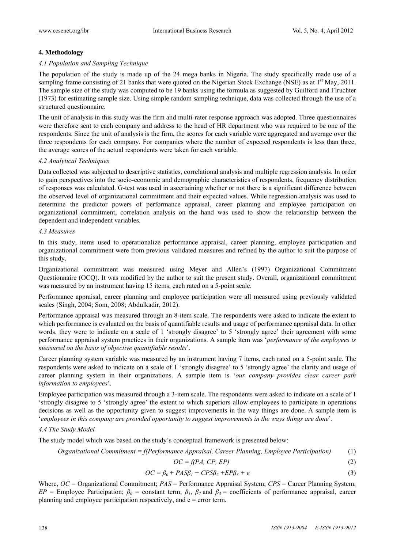## **4. Methodology**

## *4.1 Population and Sampling Technique*

The population of the study is made up of the 24 mega banks in Nigeria. The study specifically made use of a sampling frame consisting of 21 banks that were quoted on the Nigerian Stock Exchange (NSE) as at  $1<sup>st</sup>$  May, 2011. The sample size of the study was computed to be 19 banks using the formula as suggested by Guilford and Flruchter (1973) for estimating sample size. Using simple random sampling technique, data was collected through the use of a structured questionnaire.

The unit of analysis in this study was the firm and multi-rater response approach was adopted. Three questionnaires were therefore sent to each company and address to the head of HR department who was required to be one of the respondents. Since the unit of analysis is the firm, the scores for each variable were aggregated and average over the three respondents for each company. For companies where the number of expected respondents is less than three, the average scores of the actual respondents were taken for each variable.

## *4.2 Analytical Techniques*

Data collected was subjected to descriptive statistics, correlational analysis and multiple regression analysis. In order to gain perspectives into the socio-economic and demographic characteristics of respondents, frequency distribution of responses was calculated. G-test was used in ascertaining whether or not there is a significant difference between the observed level of organizational commitment and their expected values. While regression analysis was used to determine the predictor powers of performance appraisal, career planning and employee participation on organizational commitment, correlation analysis on the hand was used to show the relationship between the dependent and independent variables.

## *4.3 Measures*

In this study, items used to operationalize performance appraisal, career planning, employee participation and organizational commitment were from previous validated measures and refined by the author to suit the purpose of this study.

Organizational commitment was measured using Meyer and Allen's (1997) Organizational Commitment Questionnaire (OCQ). It was modified by the author to suit the present study. Overall, organizational commitment was measured by an instrument having 15 items, each rated on a 5-point scale.

Performance appraisal, career planning and employee participation were all measured using previously validated scales (Singh, 2004; Som, 2008; Abdulkadir, 2012).

Performance appraisal was measured through an 8-item scale. The respondents were asked to indicate the extent to which performance is evaluated on the basis of quantifiable results and usage of performance appraisal data. In other words, they were to indicate on a scale of 1 'strongly disagree' to 5 'strongly agree' their agreement with some performance appraisal system practices in their organizations. A sample item was '*performance of the employees is measured on the basis of objective quantifiable results*'.

Career planning system variable was measured by an instrument having 7 items, each rated on a 5-point scale. The respondents were asked to indicate on a scale of 1 'strongly disagree' to 5 'strongly agree' the clarity and usage of career planning system in their organizations. A sample item is '*our company provides clear career path information to employees*'.

Employee participation was measured through a 3-item scale. The respondents were asked to indicate on a scale of 1 'strongly disagree to 5 'strongly agree' the extent to which superiors allow employees to participate in operations decisions as well as the opportunity given to suggest improvements in the way things are done. A sample item is '*employees in this company are provided opportunity to suggest improvements in the ways things are done*'.

## *4.4 The Study Model*

The study model which was based on the study's conceptual framework is presented below:

*Organizational Commitment = f(Performance Appraisal, Career Planning, Employee Participation)* (1)

$$
OC = f(PA, CP, EP)
$$
 (2)

$$
OC = \beta_0 + PAS\beta_1 + CPS\beta_2 + EP\beta_3 + e \tag{3}
$$

Where,  $OC = Organization$  Commitment;  $PAS = Performance$  Appraisal System;  $CPS =$  Career Planning System; *EP* = Employee Participation;  $\beta_0$  = constant term;  $\beta_1$ ,  $\beta_2$  and  $\beta_3$  = coefficients of performance appraisal, career planning and employee participation respectively, and  $e =$  error term.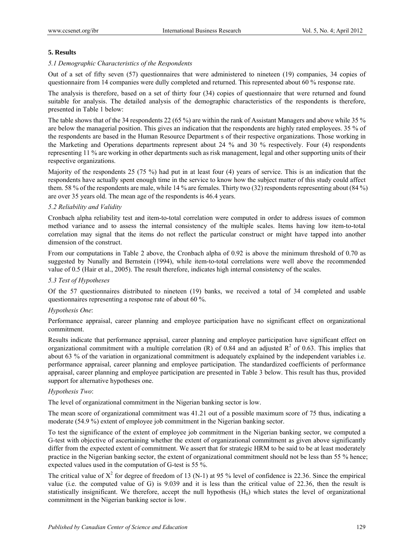## **5. Results**

## *5.1 Demographic Characteristics of the Respondents*

Out of a set of fifty seven (57) questionnaires that were administered to nineteen (19) companies, 34 copies of questionnaire from 14 companies were dully completed and returned. This represented about 60 % response rate.

The analysis is therefore, based on a set of thirty four (34) copies of questionnaire that were returned and found suitable for analysis. The detailed analysis of the demographic characteristics of the respondents is therefore, presented in Table 1 below:

The table shows that of the 34 respondents 22 (65 %) are within the rank of Assistant Managers and above while 35 % are below the managerial position. This gives an indication that the respondents are highly rated employees. 35 % of the respondents are based in the Human Resource Department s of their respective organizations. Those working in the Marketing and Operations departments represent about 24 % and 30 % respectively. Four (4) respondents representing 11 % are working in other departments such as risk management, legal and other supporting units of their respective organizations.

Majority of the respondents 25 (75 %) had put in at least four (4) years of service. This is an indication that the respondents have actually spent enough time in the service to know how the subject matter of this study could affect them. 58 % of the respondents are male, while 14 % are females. Thirty two (32) respondents representing about (84 %) are over 35 years old. The mean age of the respondents is 46.4 years.

## *5.2 Reliability and Validity*

Cronbach alpha reliability test and item-to-total correlation were computed in order to address issues of common method variance and to assess the internal consistency of the multiple scales. Items having low item-to-total correlation may signal that the items do not reflect the particular construct or might have tapped into another dimension of the construct.

From our computations in Table 2 above, the Cronbach alpha of 0.92 is above the minimum threshold of 0.70 as suggested by Nunally and Bernstein (1994), while item-to-total correlations were well above the recommended value of 0.5 (Hair et al., 2005). The result therefore, indicates high internal consistency of the scales.

## *5.3 Test of Hypotheses*

Of the 57 questionnaires distributed to nineteen (19) banks, we received a total of 34 completed and usable questionnaires representing a response rate of about 60 %.

## *Hypothesis One*:

Performance appraisal, career planning and employee participation have no significant effect on organizational commitment.

Results indicate that performance appraisal, career planning and employee participation have significant effect on organizational commitment with a multiple correlation  $(R)$  of 0.84 and an adjusted  $R^2$  of 0.63. This implies that about 63 % of the variation in organizational commitment is adequately explained by the independent variables i.e. performance appraisal, career planning and employee participation. The standardized coefficients of performance appraisal, career planning and employee participation are presented in Table 3 below. This result has thus, provided support for alternative hypotheses one.

## *Hypothesis Two*:

The level of organizational commitment in the Nigerian banking sector is low.

The mean score of organizational commitment was 41.21 out of a possible maximum score of 75 thus, indicating a moderate (54.9 %) extent of employee job commitment in the Nigerian banking sector.

To test the significance of the extent of employee job commitment in the Nigerian banking sector, we computed a G-test with objective of ascertaining whether the extent of organizational commitment as given above significantly differ from the expected extent of commitment. We assert that for strategic HRM to be said to be at least moderately practice in the Nigerian banking sector, the extent of organizational commitment should not be less than 55 % hence; expected values used in the computation of G-test is 55 %.

The critical value of  $X^2$  for degree of freedom of 13 (N-1) at 95 % level of confidence is 22.36. Since the empirical value (i.e. the computed value of G) is 9.039 and it is less than the critical value of 22.36, then the result is statistically insignificant. We therefore, accept the null hypothesis  $(H<sub>0</sub>)$  which states the level of organizational commitment in the Nigerian banking sector is low.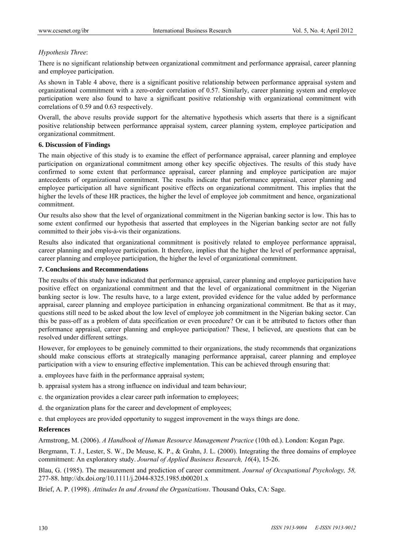# *Hypothesis Three*:

There is no significant relationship between organizational commitment and performance appraisal, career planning and employee participation.

As shown in Table 4 above, there is a significant positive relationship between performance appraisal system and organizational commitment with a zero-order correlation of 0.57. Similarly, career planning system and employee participation were also found to have a significant positive relationship with organizational commitment with correlations of 0.59 and 0.63 respectively.

Overall, the above results provide support for the alternative hypothesis which asserts that there is a significant positive relationship between performance appraisal system, career planning system, employee participation and organizational commitment.

## **6. Discussion of Findings**

The main objective of this study is to examine the effect of performance appraisal, career planning and employee participation on organizational commitment among other key specific objectives. The results of this study have confirmed to some extent that performance appraisal, career planning and employee participation are major antecedents of organizational commitment. The results indicate that performance appraisal, career planning and employee participation all have significant positive effects on organizational commitment. This implies that the higher the levels of these HR practices, the higher the level of employee job commitment and hence, organizational commitment.

Our results also show that the level of organizational commitment in the Nigerian banking sector is low. This has to some extent confirmed our hypothesis that asserted that employees in the Nigerian banking sector are not fully committed to their jobs vis-à-vis their organizations.

Results also indicated that organizational commitment is positively related to employee performance appraisal, career planning and employee participation. It therefore, implies that the higher the level of performance appraisal, career planning and employee participation, the higher the level of organizational commitment.

## **7. Conclusions and Recommendations**

The results of this study have indicated that performance appraisal, career planning and employee participation have positive effect on organizational commitment and that the level of organizational commitment in the Nigerian banking sector is low. The results have, to a large extent, provided evidence for the value added by performance appraisal, career planning and employee participation in enhancing organizational commitment. Be that as it may, questions still need to be asked about the low level of employee job commitment in the Nigerian baking sector. Can this be pass-off as a problem of data specification or even procedure? Or can it be attributed to factors other than performance appraisal, career planning and employee participation? These, I believed, are questions that can be resolved under different settings.

However, for employees to be genuinely committed to their organizations, the study recommends that organizations should make conscious efforts at strategically managing performance appraisal, career planning and employee participation with a view to ensuring effective implementation. This can be achieved through ensuring that:

a. employees have faith in the performance appraisal system;

- b. appraisal system has a strong influence on individual and team behaviour;
- c. the organization provides a clear career path information to employees;
- d. the organization plans for the career and development of employees;
- e. that employees are provided opportunity to suggest improvement in the ways things are done.

## **References**

Armstrong, M. (2006). *A Handbook of Human Resource Management Practice* (10th ed.). London: Kogan Page.

Bergmann, T. J., Lester, S. W., De Meuse, K. P., & Grahn, J. L. (2000). Integrating the three domains of employee commitment: An exploratory study. *Journal of Applied Business Research, 16*(4), 15-26.

Blau, G. (1985). The measurement and prediction of career commitment. *Journal of Occupational Psychology, 58,* 277-88. http://dx.doi.org/10.1111/j.2044-8325.1985.tb00201.x

Brief, A. P. (1998). *Attitudes In and Around the Organizations*. Thousand Oaks, CA: Sage.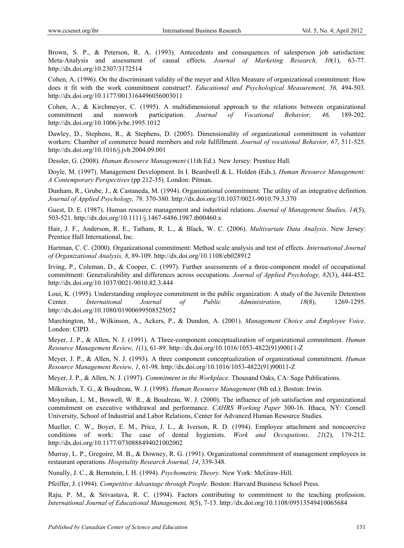Brown, S. P., & Peterson, R. A. (1993). Antecedents and consequences of salesperson job satisfaction: Meta-Analysis and assessment of causal effects. *Journal of Marketing Research, 30*(1), 63-77. http://dx.doi.org/10.2307/3172514

Cohen, A. (1996). On the discriminant validity of the meyer and Allen Measure of organizational commitment: How does it fit with the work commitment construct?. *Educational and Psychological Measurement, 56,* 494-503. http://dx.doi.org/10.1177/0013164496056003011

Cohen, A., & Kirchmeyer, C. (1995). A multidimensional approach to the relations between organizational commitment and nonwork participation. *Journal of Vocational Behavior, 46,* 189-202. http://dx.doi.org/10.1006/jvbe.1995.1012

Dawley, D., Stephens, R., & Stephens, D. (2005). Dimensionality of organizational commitment in volunteer workers: Chamber of commerce board members and role fulfillment. *Journal of vocational Behavior, 67*, 511-525. http://dx.doi.org/10.1016/j.jvb.2004.09.001

Dessler, G. (2008). *Human Resource Management* (11th Ed.)*.* New Jersey: Prentice Hall.

Doyle, M. (1997). Management Development. In I. Beardwell & L. Holden (Eds.), *Human Resource Management: A Contemporary Perspectives* (pp 212-35). London: Pitman.

Dunham, R., Grube, J., & Castaneda, M. (1994). Organizational commitment: The utility of an integrative definition. *Journal of Applied Psychology, 79,* 370-380. http://dx.doi.org/10.1037/0021-9010.79.3.370

Guest, D. E. (1987). Human resource management and industrial relations. *Journal of Management Studies, 14*(5), 503-521. http://dx.doi.org/10.1111/j.1467-6486.1987.tb00460.x

Hair, J. F., Anderson, R. E., Tatham, R. L., & Black, W. C. (2006). *Multivariate Data Analysis*. New Jersey: Prentice Hall International, Inc.

Hartman, C. C. (2000). Organizational commitment: Method scale analysis and test of effects. *International Journal of Organizational Analysis, 8*, 89-109. http://dx.doi.org/10.1108/eb028912

Irving, P., Coleman, D., & Cooper, C. (1997). Further assessments of a three-component model of occupational commitment: Generalizability and differences across occupations. *Journal of Applied Psychology, 82*(3), 444-452. http://dx.doi.org/10.1037/0021-9010.82.3.444

Loui, K. (1995). Understanding employee commitment in the public organization: A study of the Juvenile Detention Center. *International Journal of Public Administration, 18*(8), 1269-1295. http://dx.doi.org/10.1080/01900699508525052

Marchington, M., Wilkinson, A., Ackers, P., & Dundon, A. (2001). *Management Choice and Employee Voice*. London: CIPD.

Meyer, J. P., & Allen, N. J. (1991). A Three-component conceptualization of organizational commitment. *Human Resource Management Review, 1*(1), 61-89. http://dx.doi.org/10.1016/1053-4822(91)90011-Z

Meyer, J. P., & Allen, N. J. (1993). A three component conceptualization of organizational commitment. *Human Resource Management Review, 1*, 61-98. http://dx.doi.org/10.1016/1053-4822(91)90011-Z

Meyer, J. P., & Allen, N. J. (1997). *Commitment in the Workplace*. Thousand Oaks, CA: Sage Publications.

Milkovich, T. G., & Boudreau, W. J. (1998). *Human Resource Management* (8th ed.). Boston: Irwin.

Moynihan, L. M., Boswell, W. R., & Boudreau, W. J. (2000). The influence of job satisfaction and organizational commitment on executive withdrawal and performance. *CAHRS Working Paper* 300-16. Ithaca, NY: Cornell University, School of Industrial and Labor Relations, Center for Advanced Human Resource Studies*.* 

Mueller, C. W., Boyer, E. M., Price, J. L., & Iverson, R. D. (1994). Employee attachment and noncoercive conditions of work: The case of dental hygienists. *Work and Occupations, 21*(2), 179-212. http://dx.doi.org/10.1177/0730888494021002002

Murray, L. P., Gregoire, M. B., & Downey, R. G. (1991). Organizational commitment of management employees in restaurant operations. *Hospitality Research Journal, 14*, 339-348.

Nunally, J. C., & Bernstein, I. H. (1994). *Psychometric Theory.* New York: McGraw-Hill.

Pfeiffer, J. (1994). *Competitive Advantage through People*. Boston: Harvard Business School Press.

Raju, P. M., & Srivastava, R. C. (1994). Factors contributing to commitment to the teaching profession. *International Journal of Educational Management, 8*(5), 7-13. http://dx.doi.org/10.1108/09513549410065684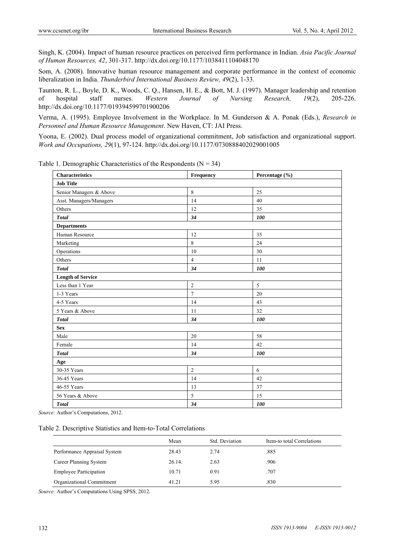Singh, K. (2004). Impact of human resource practices on perceived firm performance in Indian. *Asia Pacific Journal of Human Resources, 42*, 301-317. http://dx.doi.org/10.1177/1038411104048170

Som, A. (2008). Innovative human resource management and corporate performance in the context of economic liberalization in India. *Thunderbird International Business Review, 49*(2), 1-33.

Taunton, R. L., Boyle, D. K., Woods, C. Q., Hansen, H. E., & Bott, M. J. (1997). Manager leadership and retention of hospital staff nurses. *Western Journal of Nursing Research, 19*(2), 205-226. http://dx.doi.org/10.1177/019394599701900206

Verma, A. (1995). Employee Involvement in the Workplace. In M. Gunderson & A. Ponak (Eds.), *Research in Personnel and Human Resource Management*. New Haven, CT: JAI Press.

Yoona, E. (2002). Dual process model of organizational commitment, Job satisfaction and organizational support. *Work and Occupations, 29*(1), 97-124. http://dx.doi.org/10.1177/0730888402029001005

| <b>Characteristics</b>   | Frequency      | Percentage (%) |
|--------------------------|----------------|----------------|
| <b>Job Title</b>         |                |                |
| Senior Managers & Above  | $\,8\,$        | 25             |
| Asst. Managers/Managers  | 14             | 40             |
| Others                   | 12             | 35             |
| <b>Total</b>             | 34             | 100            |
| <b>Departments</b>       |                |                |
| Human Resource           | 12             | 35             |
| Marketing                | 8              | 24             |
| Operations               | 10             | 30             |
| Others                   | $\overline{4}$ | 11             |
| <b>Total</b>             | 34             | 100            |
| <b>Length of Service</b> |                |                |
| Less than 1 Year         | $\overline{2}$ | 5              |
| 1-3 Years                | $\overline{7}$ | 20             |
| 4-5 Years                | 14             | 43             |
| 5 Years & Above          | 11             | 32             |
| <b>Total</b>             | 34             | 100            |
| <b>Sex</b>               |                |                |
| Male                     | 20             | 58             |
| Female                   | 14             | 42             |
| <b>Total</b>             | 34             | 100            |
| Age                      |                |                |
| 30-35 Years              | $\overline{2}$ | 6              |
| 36-45 Years              | 14             | 42             |
| 46-55 Years              | 13             | 37             |
| 56 Years & Above         | 5              | 15             |
| <b>Total</b>             | 34             | 100            |

Table 1. Demographic Characteristics of the Respondents ( $N = 34$ )

*Source:* Author's Computations, 2012.

#### Table 2. Descriptive Statistics and Item-to-Total Correlations

|                               | Mean  | Std. Deviation | Item-to total Correlations |
|-------------------------------|-------|----------------|----------------------------|
| Performance Appraisal System  | 28.43 | 2.74           | .885                       |
| Career Planning System        | 26.14 | 2.63           | .906                       |
| <b>Employee Participation</b> | 10.71 | 0.91           | .707                       |
| Organizational Commitment     | 41.21 | 5.95           | .830                       |

*Source:* Author's Computations Using SPSS, 2012.